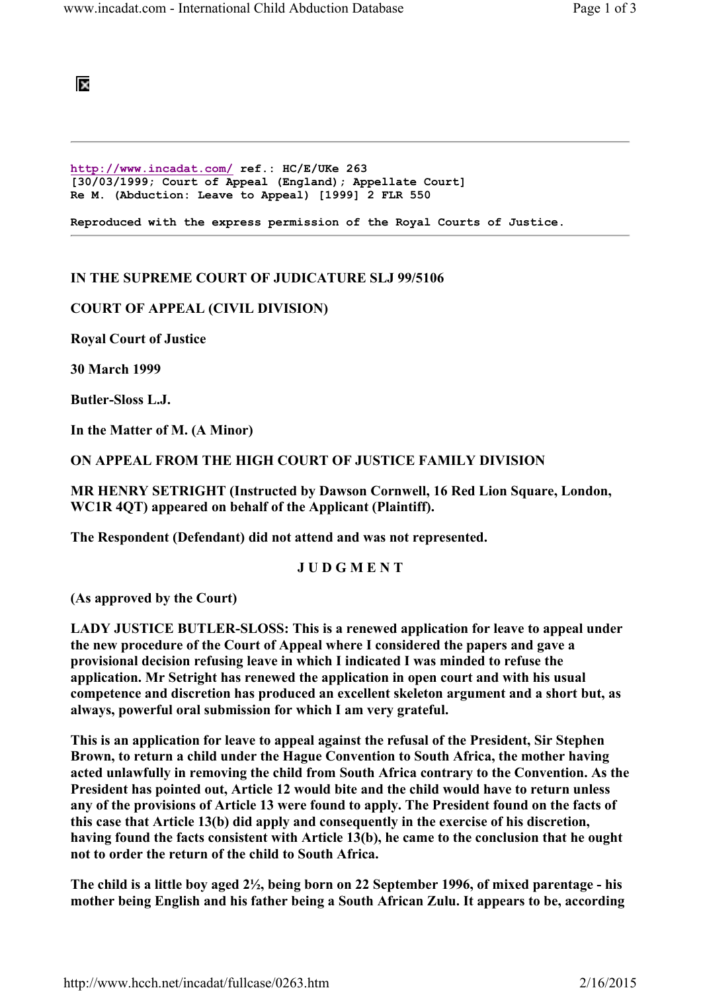

http://www.incadat.com/ ref.: HC/E/UKe 263 [30/03/1999; Court of Appeal (England); Appellate Court] Re M. (Abduction: Leave to Appeal) [1999] 2 FLR 550

Reproduced with the express permission of the Royal Courts of Justice.

## IN THE SUPREME COURT OF JUDICATURE SLJ 99/5106

## COURT OF APPEAL (CIVIL DIVISION)

Royal Court of Justice

30 March 1999

Butler-Sloss L.J.

In the Matter of M. (A Minor)

ON APPEAL FROM THE HIGH COURT OF JUSTICE FAMILY DIVISION

MR HENRY SETRIGHT (Instructed by Dawson Cornwell, 16 Red Lion Square, London, WC1R 4QT) appeared on behalf of the Applicant (Plaintiff).

The Respondent (Defendant) did not attend and was not represented.

## J U D G M E N T

(As approved by the Court)

LADY JUSTICE BUTLER-SLOSS: This is a renewed application for leave to appeal under the new procedure of the Court of Appeal where I considered the papers and gave a provisional decision refusing leave in which I indicated I was minded to refuse the application. Mr Setright has renewed the application in open court and with his usual competence and discretion has produced an excellent skeleton argument and a short but, as always, powerful oral submission for which I am very grateful.

This is an application for leave to appeal against the refusal of the President, Sir Stephen Brown, to return a child under the Hague Convention to South Africa, the mother having acted unlawfully in removing the child from South Africa contrary to the Convention. As the President has pointed out, Article 12 would bite and the child would have to return unless any of the provisions of Article 13 were found to apply. The President found on the facts of this case that Article 13(b) did apply and consequently in the exercise of his discretion, having found the facts consistent with Article 13(b), he came to the conclusion that he ought not to order the return of the child to South Africa.

The child is a little boy aged 2½, being born on 22 September 1996, of mixed parentage - his mother being English and his father being a South African Zulu. It appears to be, according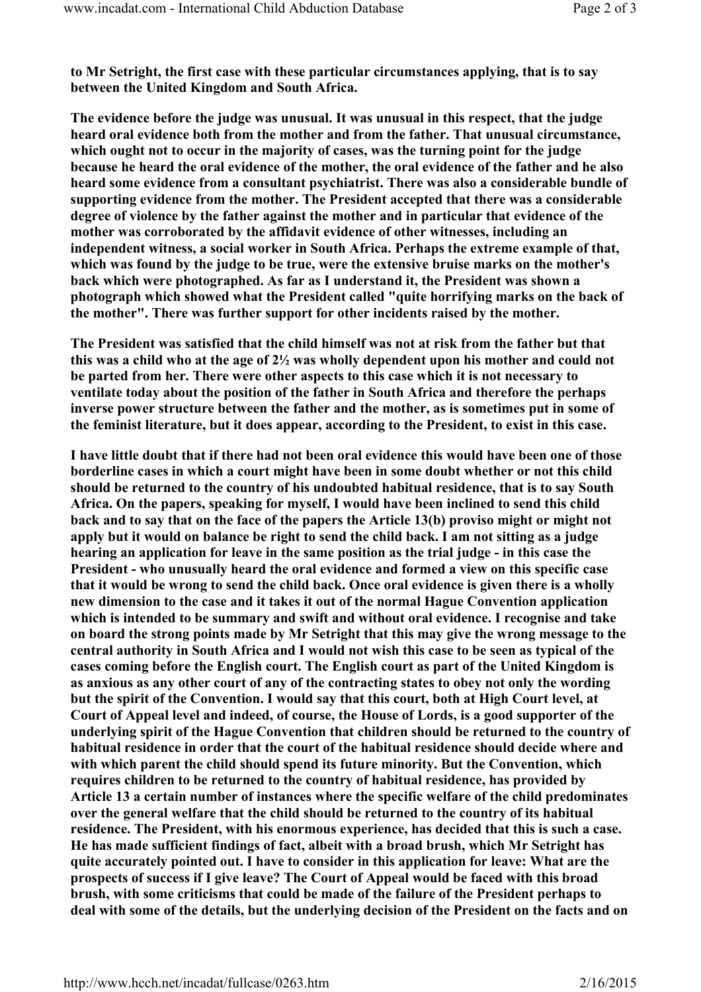to Mr Setright, the first case with these particular circumstances applying, that is to say between the United Kingdom and South Africa.

The evidence before the judge was unusual. It was unusual in this respect, that the judge heard oral evidence both from the mother and from the father. That unusual circumstance, which ought not to occur in the majority of cases, was the turning point for the judge because he heard the oral evidence of the mother, the oral evidence of the father and he also heard some evidence from a consultant psychiatrist. There was also a considerable bundle of supporting evidence from the mother. The President accepted that there was a considerable degree of violence by the father against the mother and in particular that evidence of the mother was corroborated by the affidavit evidence of other witnesses, including an independent witness, a social worker in South Africa. Perhaps the extreme example of that, which was found by the judge to be true, were the extensive bruise marks on the mother's back which were photographed. As far as I understand it, the President was shown a photograph which showed what the President called "quite horrifying marks on the back of the mother". There was further support for other incidents raised by the mother.

The President was satisfied that the child himself was not at risk from the father but that this was a child who at the age of 2½ was wholly dependent upon his mother and could not be parted from her. There were other aspects to this case which it is not necessary to ventilate today about the position of the father in South Africa and therefore the perhaps inverse power structure between the father and the mother, as is sometimes put in some of the feminist literature, but it does appear, according to the President, to exist in this case.

I have little doubt that if there had not been oral evidence this would have been one of those borderline cases in which a court might have been in some doubt whether or not this child should be returned to the country of his undoubted habitual residence, that is to say South Africa. On the papers, speaking for myself, I would have been inclined to send this child back and to say that on the face of the papers the Article 13(b) proviso might or might not apply but it would on balance be right to send the child back. I am not sitting as a judge hearing an application for leave in the same position as the trial judge - in this case the President - who unusually heard the oral evidence and formed a view on this specific case that it would be wrong to send the child back. Once oral evidence is given there is a wholly new dimension to the case and it takes it out of the normal Hague Convention application which is intended to be summary and swift and without oral evidence. I recognise and take on board the strong points made by Mr Setright that this may give the wrong message to the central authority in South Africa and I would not wish this case to be seen as typical of the cases coming before the English court. The English court as part of the United Kingdom is as anxious as any other court of any of the contracting states to obey not only the wording but the spirit of the Convention. I would say that this court, both at High Court level, at Court of Appeal level and indeed, of course, the House of Lords, is a good supporter of the underlying spirit of the Hague Convention that children should be returned to the country of habitual residence in order that the court of the habitual residence should decide where and with which parent the child should spend its future minority. But the Convention, which requires children to be returned to the country of habitual residence, has provided by Article 13 a certain number of instances where the specific welfare of the child predominates over the general welfare that the child should be returned to the country of its habitual residence. The President, with his enormous experience, has decided that this is such a case. He has made sufficient findings of fact, albeit with a broad brush, which Mr Setright has quite accurately pointed out. I have to consider in this application for leave: What are the prospects of success if I give leave? The Court of Appeal would be faced with this broad brush, with some criticisms that could be made of the failure of the President perhaps to deal with some of the details, but the underlying decision of the President on the facts and on